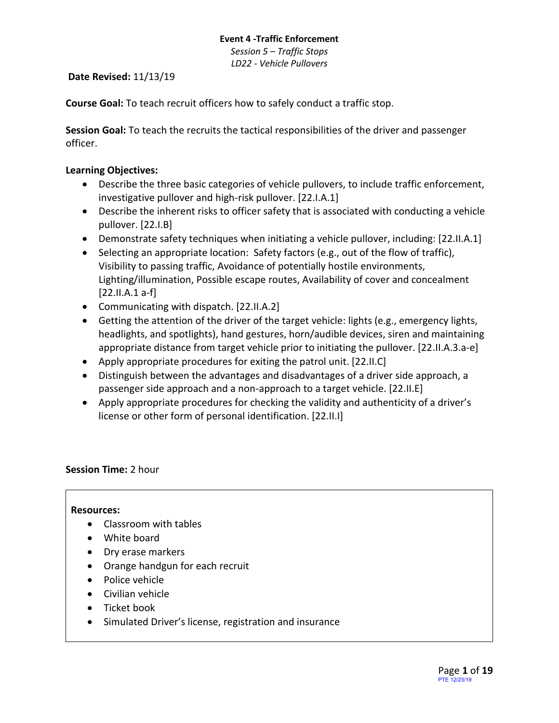*Session 5 – Traffic Stops LD22 - Vehicle Pullovers*

**Date Revised:** 11/13/19

**Course Goal:** To teach recruit officers how to safely conduct a traffic stop.

**Session Goal:** To teach the recruits the tactical responsibilities of the driver and passenger officer.

# **Learning Objectives:**

- Describe the three basic categories of vehicle pullovers, to include traffic enforcement, investigative pullover and high-risk pullover. [22.I.A.1]
- Describe the inherent risks to officer safety that is associated with conducting a vehicle pullover. [22.I.B]
- Demonstrate safety techniques when initiating a vehicle pullover, including: [22.II.A.1]
- Selecting an appropriate location: Safety factors (e.g., out of the flow of traffic), Visibility to passing traffic, Avoidance of potentially hostile environments, Lighting/illumination, Possible escape routes, Availability of cover and concealment [22.II.A.1 a-f]
- Communicating with dispatch. [22.II.A.2]
- Getting the attention of the driver of the target vehicle: lights (e.g., emergency lights, headlights, and spotlights), hand gestures, horn/audible devices, siren and maintaining appropriate distance from target vehicle prior to initiating the pullover. [22.II.A.3.a-e]
- Apply appropriate procedures for exiting the patrol unit. [22.II.C]
- Distinguish between the advantages and disadvantages of a driver side approach, a passenger side approach and a non-approach to a target vehicle. [22.II.E]
- Apply appropriate procedures for checking the validity and authenticity of a driver's license or other form of personal identification. [22.II.I]

# **Session Time:** 2 hour

# **Resources:**

- Classroom with tables
- White board
- Dry erase markers
- Orange handgun for each recruit
- Police vehicle
- Civilian vehicle
- Ticket book
- Simulated Driver's license, registration and insurance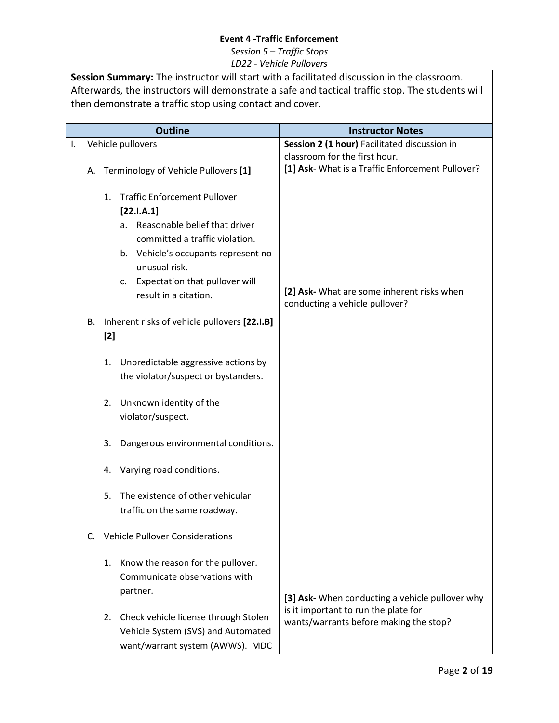| Session Summary: The instructor will start with a facilitated discussion in the classroom.<br>Afterwards, the instructors will demonstrate a safe and tactical traffic stop. The students will<br>then demonstrate a traffic stop using contact and cover. |          |                                                                                                                                                                                                                                                           |                                                                                                                                                                                                                                                                                                                                                             |                                                                                                                                   |  |
|------------------------------------------------------------------------------------------------------------------------------------------------------------------------------------------------------------------------------------------------------------|----------|-----------------------------------------------------------------------------------------------------------------------------------------------------------------------------------------------------------------------------------------------------------|-------------------------------------------------------------------------------------------------------------------------------------------------------------------------------------------------------------------------------------------------------------------------------------------------------------------------------------------------------------|-----------------------------------------------------------------------------------------------------------------------------------|--|
|                                                                                                                                                                                                                                                            |          |                                                                                                                                                                                                                                                           | <b>Outline</b>                                                                                                                                                                                                                                                                                                                                              | <b>Instructor Notes</b>                                                                                                           |  |
| Ι.                                                                                                                                                                                                                                                         | А.       |                                                                                                                                                                                                                                                           | Vehicle pullovers<br>Terminology of Vehicle Pullovers [1]                                                                                                                                                                                                                                                                                                   | Session 2 (1 hour) Facilitated discussion in<br>classroom for the first hour.<br>[1] Ask- What is a Traffic Enforcement Pullover? |  |
|                                                                                                                                                                                                                                                            |          | <b>Traffic Enforcement Pullover</b><br>1.<br>[22.1.A.1]<br>Reasonable belief that driver<br>а.<br>committed a traffic violation.<br>b. Vehicle's occupants represent no<br>unusual risk.<br>Expectation that pullover will<br>c.<br>result in a citation. |                                                                                                                                                                                                                                                                                                                                                             | [2] Ask- What are some inherent risks when<br>conducting a vehicle pullover?                                                      |  |
|                                                                                                                                                                                                                                                            | В.<br>C. | $[2]$<br>1.<br>2.<br>3.<br>4.<br>5.                                                                                                                                                                                                                       | Inherent risks of vehicle pullovers [22.I.B]<br>Unpredictable aggressive actions by<br>the violator/suspect or bystanders.<br>Unknown identity of the<br>violator/suspect.<br>Dangerous environmental conditions.<br>Varying road conditions.<br>The existence of other vehicular<br>traffic on the same roadway.<br><b>Vehicle Pullover Considerations</b> |                                                                                                                                   |  |
|                                                                                                                                                                                                                                                            |          | 1.                                                                                                                                                                                                                                                        | Know the reason for the pullover.<br>Communicate observations with<br>partner.<br>2. Check vehicle license through Stolen<br>Vehicle System (SVS) and Automated<br>want/warrant system (AWWS). MDC                                                                                                                                                          | [3] Ask- When conducting a vehicle pullover why<br>is it important to run the plate for<br>wants/warrants before making the stop? |  |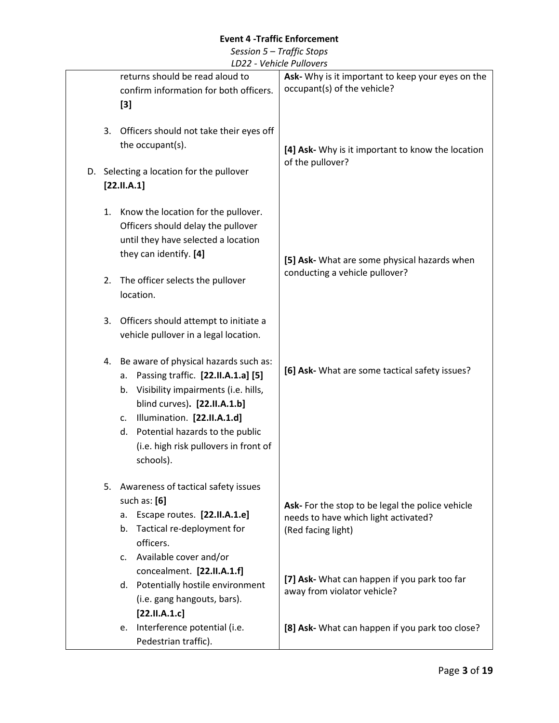|          |                                                                                                                                                                                                                                                                                              | $-$ vernore r unovers                                                                                          |
|----------|----------------------------------------------------------------------------------------------------------------------------------------------------------------------------------------------------------------------------------------------------------------------------------------------|----------------------------------------------------------------------------------------------------------------|
|          | returns should be read aloud to<br>confirm information for both officers.<br>$[3]$                                                                                                                                                                                                           | Ask- Why is it important to keep your eyes on the<br>occupant(s) of the vehicle?                               |
| 3.       | Officers should not take their eyes off<br>the occupant(s).<br>D. Selecting a location for the pullover<br>[22.11.A.1]                                                                                                                                                                       | [4] Ask- Why is it important to know the location<br>of the pullover?                                          |
| 1.<br>2. | Know the location for the pullover.<br>Officers should delay the pullover<br>until they have selected a location<br>they can identify. [4]<br>The officer selects the pullover<br>location.                                                                                                  | [5] Ask- What are some physical hazards when<br>conducting a vehicle pullover?                                 |
| 3.       | Officers should attempt to initiate a<br>vehicle pullover in a legal location.                                                                                                                                                                                                               |                                                                                                                |
| 4.       | Be aware of physical hazards such as:<br>a. Passing traffic. [22.II.A.1.a] [5]<br>Visibility impairments (i.e. hills,<br>b.<br>blind curves). [22.II.A.1.b]<br>Illumination. [22.II.A.1.d]<br>c.<br>d. Potential hazards to the public<br>(i.e. high risk pullovers in front of<br>schools). | [6] Ask- What are some tactical safety issues?                                                                 |
|          | 5. Awareness of tactical safety issues<br>such as: $[6]$<br>a. Escape routes. [22.II.A.1.e]<br>b. Tactical re-deployment for<br>officers.<br>c. Available cover and/or                                                                                                                       | Ask- For the stop to be legal the police vehicle<br>needs to have which light activated?<br>(Red facing light) |
|          | concealment. [22.II.A.1.f]<br>d. Potentially hostile environment<br>(i.e. gang hangouts, bars).<br>[22.11.A.1.c]                                                                                                                                                                             | [7] Ask- What can happen if you park too far<br>away from violator vehicle?                                    |
|          | e. Interference potential (i.e.<br>Pedestrian traffic).                                                                                                                                                                                                                                      | [8] Ask- What can happen if you park too close?                                                                |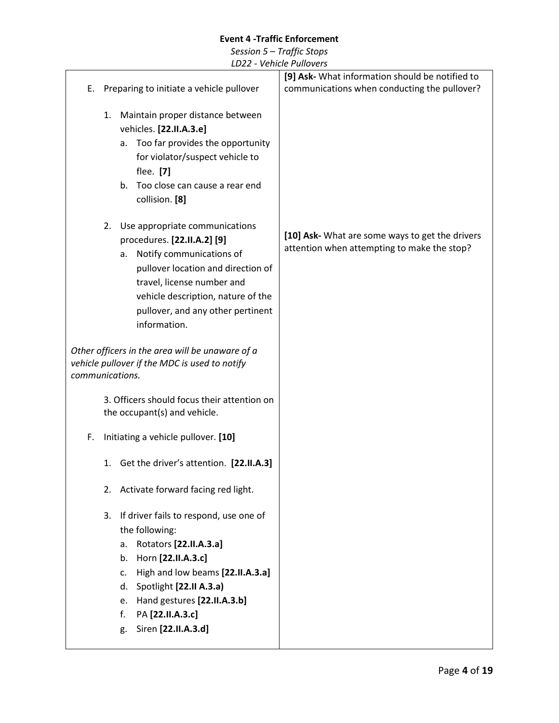|    |                                                                                                                                                                                                                                                                                                   | [9] Ask- What information should be notified to                                                |
|----|---------------------------------------------------------------------------------------------------------------------------------------------------------------------------------------------------------------------------------------------------------------------------------------------------|------------------------------------------------------------------------------------------------|
| Е. | Preparing to initiate a vehicle pullover                                                                                                                                                                                                                                                          | communications when conducting the pullover?                                                   |
|    | Maintain proper distance between<br>1.<br>vehicles. [22.II.A.3.e]<br>Too far provides the opportunity<br>a.<br>for violator/suspect vehicle to<br>flee. [7]<br>Too close can cause a rear end<br>b.<br>collision. [8]                                                                             |                                                                                                |
|    | 2.<br>Use appropriate communications<br>procedures. [22.II.A.2] [9]<br>Notify communications of<br>a.<br>pullover location and direction of<br>travel, license number and<br>vehicle description, nature of the<br>pullover, and any other pertinent<br>information.                              | [10] Ask- What are some ways to get the drivers<br>attention when attempting to make the stop? |
|    | Other officers in the area will be unaware of a<br>vehicle pullover if the MDC is used to notify<br>communications.                                                                                                                                                                               |                                                                                                |
|    | 3. Officers should focus their attention on<br>the occupant(s) and vehicle.                                                                                                                                                                                                                       |                                                                                                |
| F. | Initiating a vehicle pullover. [10]                                                                                                                                                                                                                                                               |                                                                                                |
|    | 1. Get the driver's attention. [22.II.A.3]                                                                                                                                                                                                                                                        |                                                                                                |
|    | 2. Activate forward facing red light.                                                                                                                                                                                                                                                             |                                                                                                |
|    | If driver fails to respond, use one of<br>3.<br>the following:<br>Rotators [22.II.A.3.a]<br>a.<br>Horn [22.II.A.3.c]<br>b.<br>High and low beams [22.II.A.3.a]<br>c.<br>Spotlight [22.II A.3.a)<br>d.<br>Hand gestures [22.II.A.3.b]<br>e.<br>PA [22.II.A.3.c]<br>f.<br>Siren [22.II.A.3.d]<br>g. |                                                                                                |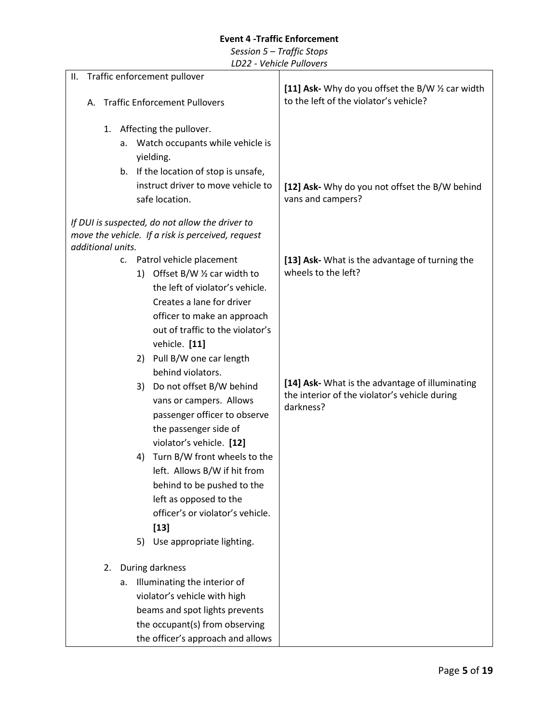| Traffic enforcement pullover<br>ΙΙ.                                            |                                                                                                  |
|--------------------------------------------------------------------------------|--------------------------------------------------------------------------------------------------|
| <b>Traffic Enforcement Pullovers</b><br>А.                                     | [11] Ask- Why do you offset the B/W 1/2 car width<br>to the left of the violator's vehicle?      |
| 1. Affecting the pullover.                                                     |                                                                                                  |
| Watch occupants while vehicle is<br>a.                                         |                                                                                                  |
| yielding.                                                                      |                                                                                                  |
| If the location of stop is unsafe,<br>b.<br>instruct driver to move vehicle to |                                                                                                  |
| safe location.                                                                 | [12] Ask- Why do you not offset the B/W behind<br>vans and campers?                              |
|                                                                                |                                                                                                  |
| If DUI is suspected, do not allow the driver to                                |                                                                                                  |
| move the vehicle. If a risk is perceived, request<br>additional units.         |                                                                                                  |
| Patrol vehicle placement<br>c.                                                 | [13] Ask- What is the advantage of turning the                                                   |
| Offset B/W $\frac{1}{2}$ car width to<br>1)                                    | wheels to the left?                                                                              |
| the left of violator's vehicle.                                                |                                                                                                  |
| Creates a lane for driver                                                      |                                                                                                  |
| officer to make an approach<br>out of traffic to the violator's                |                                                                                                  |
| vehicle. [11]                                                                  |                                                                                                  |
| 2) Pull B/W one car length                                                     |                                                                                                  |
| behind violators.                                                              |                                                                                                  |
| 3) Do not offset B/W behind                                                    | [14] Ask- What is the advantage of illuminating<br>the interior of the violator's vehicle during |
| vans or campers. Allows                                                        | darkness?                                                                                        |
| passenger officer to observe<br>the passenger side of                          |                                                                                                  |
| violator's vehicle. [12]                                                       |                                                                                                  |
| Turn B/W front wheels to the<br>4)                                             |                                                                                                  |
| left. Allows B/W if hit from                                                   |                                                                                                  |
| behind to be pushed to the                                                     |                                                                                                  |
| left as opposed to the                                                         |                                                                                                  |
| officer's or violator's vehicle.<br>$[13]$                                     |                                                                                                  |
| Use appropriate lighting.<br>5)                                                |                                                                                                  |
|                                                                                |                                                                                                  |
| During darkness<br>2.                                                          |                                                                                                  |
| Illuminating the interior of<br>a.                                             |                                                                                                  |
| violator's vehicle with high                                                   |                                                                                                  |
| beams and spot lights prevents<br>the occupant(s) from observing               |                                                                                                  |
| the officer's approach and allows                                              |                                                                                                  |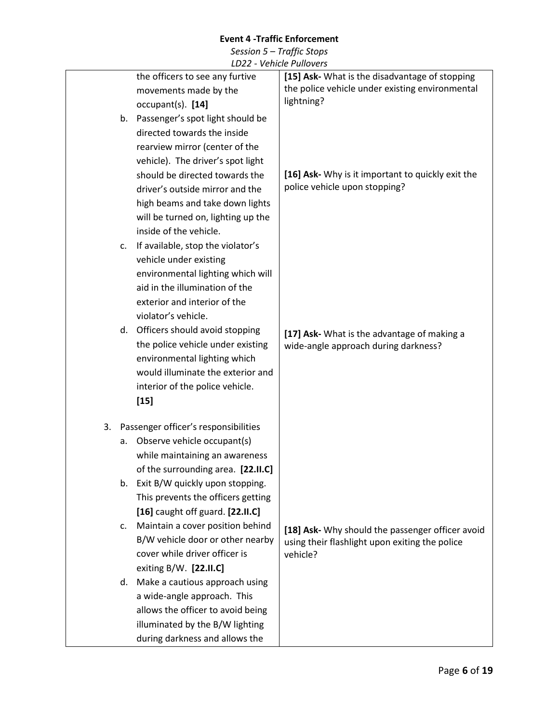|    |    | レレムム                                 | $-$ vernere regioners                             |
|----|----|--------------------------------------|---------------------------------------------------|
|    |    | the officers to see any furtive      | [15] Ask- What is the disadvantage of stopping    |
|    |    | movements made by the                | the police vehicle under existing environmental   |
|    |    | $occupant(s)$ . [14]                 | lightning?                                        |
|    |    | b. Passenger's spot light should be  |                                                   |
|    |    | directed towards the inside          |                                                   |
|    |    | rearview mirror (center of the       |                                                   |
|    |    | vehicle). The driver's spot light    |                                                   |
|    |    | should be directed towards the       | [16] Ask- Why is it important to quickly exit the |
|    |    | driver's outside mirror and the      | police vehicle upon stopping?                     |
|    |    | high beams and take down lights      |                                                   |
|    |    | will be turned on, lighting up the   |                                                   |
|    |    | inside of the vehicle.               |                                                   |
|    | c. | If available, stop the violator's    |                                                   |
|    |    | vehicle under existing               |                                                   |
|    |    | environmental lighting which will    |                                                   |
|    |    | aid in the illumination of the       |                                                   |
|    |    | exterior and interior of the         |                                                   |
|    |    | violator's vehicle.                  |                                                   |
|    | d. | Officers should avoid stopping       | [17] Ask- What is the advantage of making a       |
|    |    | the police vehicle under existing    | wide-angle approach during darkness?              |
|    |    | environmental lighting which         |                                                   |
|    |    | would illuminate the exterior and    |                                                   |
|    |    | interior of the police vehicle.      |                                                   |
|    |    | $[15]$                               |                                                   |
| 3. |    | Passenger officer's responsibilities |                                                   |
|    | a. | Observe vehicle occupant(s)          |                                                   |
|    |    | while maintaining an awareness       |                                                   |
|    |    | of the surrounding area. [22.II.C]   |                                                   |
|    | b. | Exit B/W quickly upon stopping.      |                                                   |
|    |    | This prevents the officers getting   |                                                   |
|    |    | [16] caught off guard. [22.II.C]     |                                                   |
|    | c. | Maintain a cover position behind     | [18] Ask- Why should the passenger officer avoid  |
|    |    | B/W vehicle door or other nearby     | using their flashlight upon exiting the police    |
|    |    | cover while driver officer is        | vehicle?                                          |
|    |    | exiting B/W. [22.II.C]               |                                                   |
|    | d. | Make a cautious approach using       |                                                   |
|    |    | a wide-angle approach. This          |                                                   |
|    |    | allows the officer to avoid being    |                                                   |
|    |    | illuminated by the B/W lighting      |                                                   |
|    |    | during darkness and allows the       |                                                   |
|    |    |                                      |                                                   |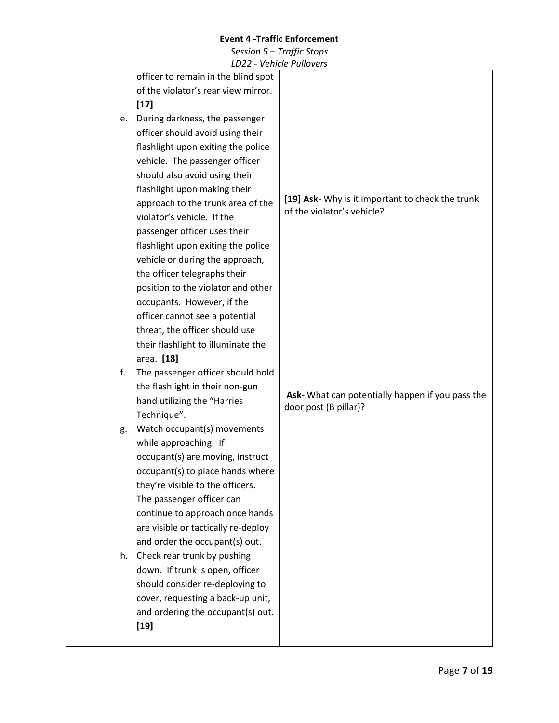|    | officer to remain in the blind spot |                                                                                |
|----|-------------------------------------|--------------------------------------------------------------------------------|
|    | of the violator's rear view mirror. |                                                                                |
|    | $[17]$                              |                                                                                |
| e. | During darkness, the passenger      |                                                                                |
|    | officer should avoid using their    |                                                                                |
|    | flashlight upon exiting the police  |                                                                                |
|    | vehicle. The passenger officer      |                                                                                |
|    | should also avoid using their       |                                                                                |
|    | flashlight upon making their        |                                                                                |
|    | approach to the trunk area of the   | [19] Ask- Why is it important to check the trunk<br>of the violator's vehicle? |
|    | violator's vehicle. If the          |                                                                                |
|    | passenger officer uses their        |                                                                                |
|    | flashlight upon exiting the police  |                                                                                |
|    | vehicle or during the approach,     |                                                                                |
|    | the officer telegraphs their        |                                                                                |
|    | position to the violator and other  |                                                                                |
|    | occupants. However, if the          |                                                                                |
|    | officer cannot see a potential      |                                                                                |
|    | threat, the officer should use      |                                                                                |
|    | their flashlight to illuminate the  |                                                                                |
|    | area. [18]                          |                                                                                |
| f. | The passenger officer should hold   |                                                                                |
|    | the flashlight in their non-gun     | Ask- What can potentially happen if you pass the                               |
|    | hand utilizing the "Harries         | door post (B pillar)?                                                          |
|    | Technique".                         |                                                                                |
| g. | Watch occupant(s) movements         |                                                                                |
|    | while approaching. If               |                                                                                |
|    | occupant(s) are moving, instruct    |                                                                                |
|    | occupant(s) to place hands where    |                                                                                |
|    | they're visible to the officers.    |                                                                                |
|    | The passenger officer can           |                                                                                |
|    | continue to approach once hands     |                                                                                |
|    | are visible or tactically re-deploy |                                                                                |
|    | and order the occupant(s) out.      |                                                                                |
|    | h. Check rear trunk by pushing      |                                                                                |
|    | down. If trunk is open, officer     |                                                                                |
|    | should consider re-deploying to     |                                                                                |
|    | cover, requesting a back-up unit,   |                                                                                |
|    | and ordering the occupant(s) out.   |                                                                                |
|    | $[19]$                              |                                                                                |
|    |                                     |                                                                                |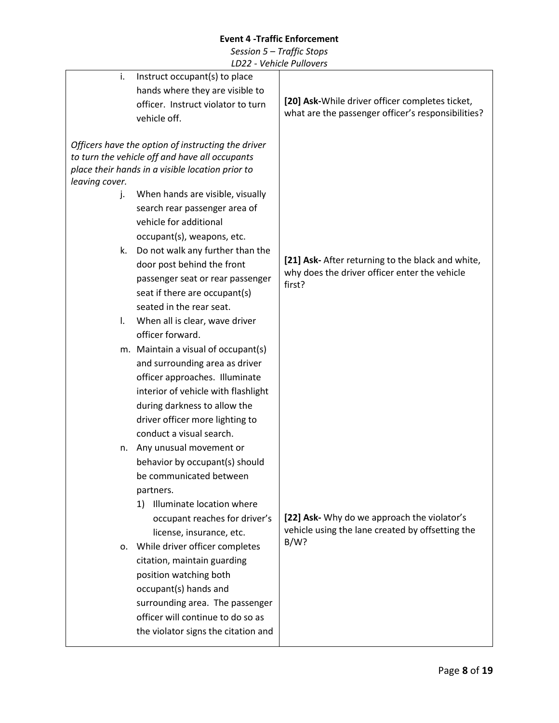| i.             | Instruct occupant(s) to place                      |                                                         |
|----------------|----------------------------------------------------|---------------------------------------------------------|
|                | hands where they are visible to                    |                                                         |
|                | officer. Instruct violator to turn                 | [20] Ask-While driver officer completes ticket,         |
|                | vehicle off.                                       | what are the passenger officer's responsibilities?      |
|                |                                                    |                                                         |
|                | Officers have the option of instructing the driver |                                                         |
|                | to turn the vehicle off and have all occupants     |                                                         |
|                | place their hands in a visible location prior to   |                                                         |
| leaving cover. |                                                    |                                                         |
| j.             | When hands are visible, visually                   |                                                         |
|                | search rear passenger area of                      |                                                         |
|                | vehicle for additional                             |                                                         |
|                | occupant(s), weapons, etc.                         |                                                         |
| k.             | Do not walk any further than the                   |                                                         |
|                | door post behind the front                         | [21] Ask- After returning to the black and white,       |
|                | passenger seat or rear passenger                   | why does the driver officer enter the vehicle<br>first? |
|                | seat if there are occupant(s)                      |                                                         |
|                | seated in the rear seat.                           |                                                         |
| I.             | When all is clear, wave driver                     |                                                         |
|                | officer forward.                                   |                                                         |
|                | m. Maintain a visual of occupant(s)                |                                                         |
|                | and surrounding area as driver                     |                                                         |
|                | officer approaches. Illuminate                     |                                                         |
|                | interior of vehicle with flashlight                |                                                         |
|                | during darkness to allow the                       |                                                         |
|                | driver officer more lighting to                    |                                                         |
|                | conduct a visual search.                           |                                                         |
| n.             | Any unusual movement or                            |                                                         |
|                | behavior by occupant(s) should                     |                                                         |
|                | be communicated between                            |                                                         |
|                | partners.                                          |                                                         |
|                | Illuminate location where<br>1)                    |                                                         |
|                | occupant reaches for driver's                      | [22] Ask- Why do we approach the violator's             |
|                | license, insurance, etc.                           | vehicle using the lane created by offsetting the        |
|                | While driver officer completes                     | $B/W$ ?                                                 |
| 0.             |                                                    |                                                         |
|                | citation, maintain guarding                        |                                                         |
|                | position watching both                             |                                                         |
|                | occupant(s) hands and                              |                                                         |
|                | surrounding area. The passenger                    |                                                         |
|                | officer will continue to do so as                  |                                                         |
|                | the violator signs the citation and                |                                                         |
|                |                                                    |                                                         |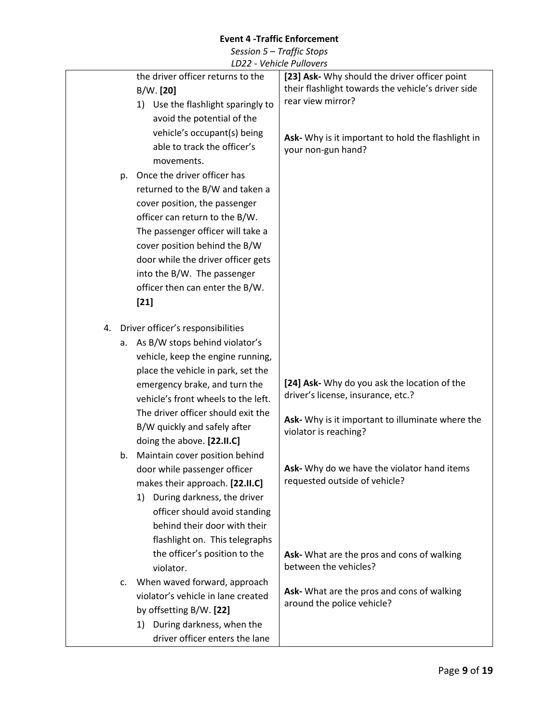|    |    |                                     | <u>VUIILIUT IUINVUIJ</u>                           |
|----|----|-------------------------------------|----------------------------------------------------|
|    |    | the driver officer returns to the   | [23] Ask- Why should the driver officer point      |
|    |    | B/W. [20]                           | their flashlight towards the vehicle's driver side |
|    |    | 1) Use the flashlight sparingly to  | rear view mirror?                                  |
|    |    | avoid the potential of the          |                                                    |
|    |    | vehicle's occupant(s) being         |                                                    |
|    |    | able to track the officer's         | Ask- Why is it important to hold the flashlight in |
|    |    |                                     | your non-gun hand?                                 |
|    |    | movements.                          |                                                    |
|    | p. | Once the driver officer has         |                                                    |
|    |    | returned to the B/W and taken a     |                                                    |
|    |    | cover position, the passenger       |                                                    |
|    |    | officer can return to the B/W.      |                                                    |
|    |    | The passenger officer will take a   |                                                    |
|    |    | cover position behind the B/W       |                                                    |
|    |    | door while the driver officer gets  |                                                    |
|    |    | into the B/W. The passenger         |                                                    |
|    |    | officer then can enter the B/W.     |                                                    |
|    |    |                                     |                                                    |
|    |    | $[21]$                              |                                                    |
| 4. |    | Driver officer's responsibilities   |                                                    |
|    |    |                                     |                                                    |
|    | а. | As B/W stops behind violator's      |                                                    |
|    |    | vehicle, keep the engine running,   |                                                    |
|    |    | place the vehicle in park, set the  |                                                    |
|    |    | emergency brake, and turn the       | [24] Ask- Why do you ask the location of the       |
|    |    | vehicle's front wheels to the left. | driver's license, insurance, etc.?                 |
|    |    | The driver officer should exit the  | Ask- Why is it important to illuminate where the   |
|    |    | B/W quickly and safely after        | violator is reaching?                              |
|    |    | doing the above. [22.II.C]          |                                                    |
|    | b. | Maintain cover position behind      |                                                    |
|    |    | door while passenger officer        | Ask- Why do we have the violator hand items        |
|    |    | makes their approach. [22.II.C]     | requested outside of vehicle?                      |
|    |    | 1) During darkness, the driver      |                                                    |
|    |    |                                     |                                                    |
|    |    | officer should avoid standing       |                                                    |
|    |    | behind their door with their        |                                                    |
|    |    | flashlight on. This telegraphs      |                                                    |
|    |    | the officer's position to the       | Ask- What are the pros and cons of walking         |
|    |    | violator.                           | between the vehicles?                              |
|    | c. | When waved forward, approach        |                                                    |
|    |    | violator's vehicle in lane created  | Ask- What are the pros and cons of walking         |
|    |    | by offsetting B/W. [22]             | around the police vehicle?                         |
|    |    | During darkness, when the<br>1)     |                                                    |
|    |    | driver officer enters the lane      |                                                    |
|    |    |                                     |                                                    |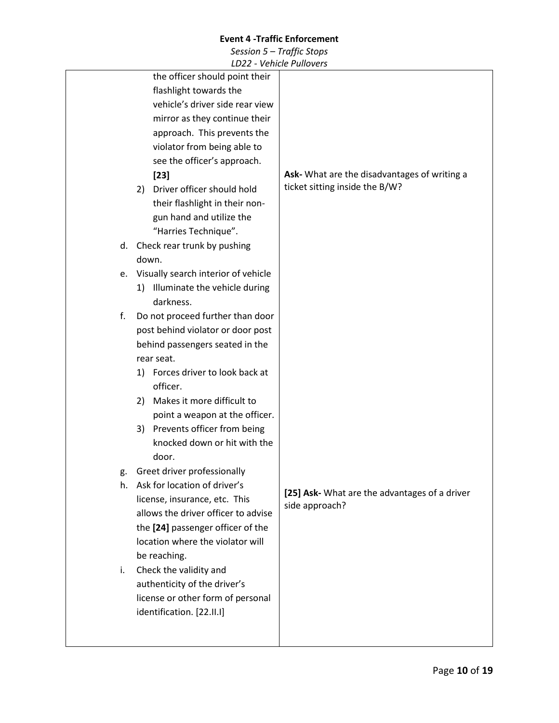|    |                                     | <b>VUINCILI UNUVUIJ</b>                       |
|----|-------------------------------------|-----------------------------------------------|
|    | the officer should point their      |                                               |
|    | flashlight towards the              |                                               |
|    | vehicle's driver side rear view     |                                               |
|    | mirror as they continue their       |                                               |
|    | approach. This prevents the         |                                               |
|    | violator from being able to         |                                               |
|    | see the officer's approach.         |                                               |
|    | $[23]$                              | Ask- What are the disadvantages of writing a  |
|    | Driver officer should hold<br>2)    | ticket sitting inside the B/W?                |
|    | their flashlight in their non-      |                                               |
|    | gun hand and utilize the            |                                               |
|    | "Harries Technique".                |                                               |
|    | d. Check rear trunk by pushing      |                                               |
|    | down.                               |                                               |
| е. | Visually search interior of vehicle |                                               |
|    | Illuminate the vehicle during<br>1) |                                               |
|    | darkness.                           |                                               |
| f. | Do not proceed further than door    |                                               |
|    | post behind violator or door post   |                                               |
|    | behind passengers seated in the     |                                               |
|    | rear seat.                          |                                               |
|    | 1) Forces driver to look back at    |                                               |
|    | officer.                            |                                               |
|    | Makes it more difficult to<br>2)    |                                               |
|    | point a weapon at the officer.      |                                               |
|    | 3) Prevents officer from being      |                                               |
|    | knocked down or hit with the        |                                               |
|    | door.                               |                                               |
| g. | Greet driver professionally         |                                               |
| h. | Ask for location of driver's        |                                               |
|    | license, insurance, etc. This       | [25] Ask- What are the advantages of a driver |
|    | allows the driver officer to advise | side approach?                                |
|    | the [24] passenger officer of the   |                                               |
|    | location where the violator will    |                                               |
|    | be reaching.                        |                                               |
| i. | Check the validity and              |                                               |
|    | authenticity of the driver's        |                                               |
|    | license or other form of personal   |                                               |
|    | identification. [22.II.I]           |                                               |
|    |                                     |                                               |
|    |                                     |                                               |
|    |                                     |                                               |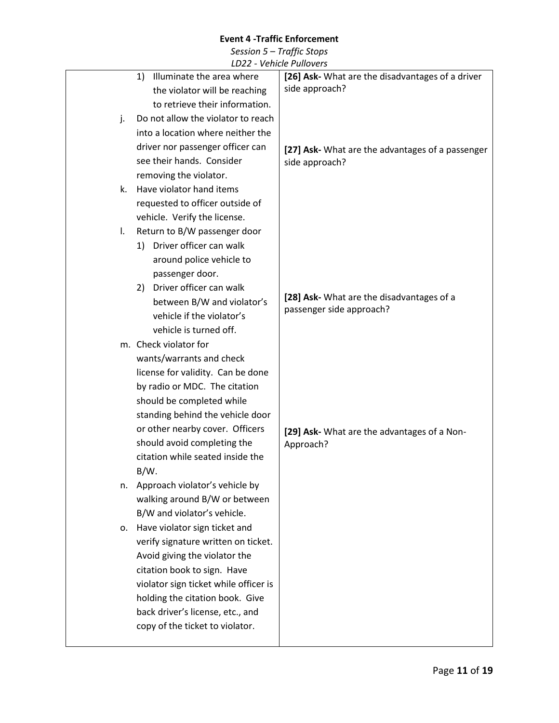|    | LDZZ - Venicie Pullovers                   |                                                  |
|----|--------------------------------------------|--------------------------------------------------|
|    | Illuminate the area where<br>1)            | [26] Ask- What are the disadvantages of a driver |
|    | the violator will be reaching              | side approach?                                   |
|    | to retrieve their information.             |                                                  |
| j. | Do not allow the violator to reach         |                                                  |
|    | into a location where neither the          |                                                  |
|    | driver nor passenger officer can           | [27] Ask- What are the advantages of a passenger |
|    | see their hands. Consider                  | side approach?                                   |
|    | removing the violator.                     |                                                  |
| k. | Have violator hand items                   |                                                  |
|    | requested to officer outside of            |                                                  |
|    | vehicle. Verify the license.               |                                                  |
| Ι. | Return to B/W passenger door               |                                                  |
|    | 1) Driver officer can walk                 |                                                  |
|    | around police vehicle to                   |                                                  |
|    |                                            |                                                  |
|    | passenger door.<br>Driver officer can walk |                                                  |
|    | 2)                                         | [28] Ask- What are the disadvantages of a        |
|    | between B/W and violator's                 | passenger side approach?                         |
|    | vehicle if the violator's                  |                                                  |
|    | vehicle is turned off.                     |                                                  |
|    | m. Check violator for                      |                                                  |
|    | wants/warrants and check                   |                                                  |
|    | license for validity. Can be done          |                                                  |
|    | by radio or MDC. The citation              |                                                  |
|    | should be completed while                  |                                                  |
|    | standing behind the vehicle door           |                                                  |
|    | or other nearby cover. Officers            | [29] Ask- What are the advantages of a Non-      |
|    | should avoid completing the                | Approach?                                        |
|    | citation while seated inside the           |                                                  |
|    | $B/W$ .                                    |                                                  |
| n. | Approach violator's vehicle by             |                                                  |
|    | walking around B/W or between              |                                                  |
|    | B/W and violator's vehicle.                |                                                  |
| 0. | Have violator sign ticket and              |                                                  |
|    | verify signature written on ticket.        |                                                  |
|    | Avoid giving the violator the              |                                                  |
|    | citation book to sign. Have                |                                                  |
|    | violator sign ticket while officer is      |                                                  |
|    | holding the citation book. Give            |                                                  |
|    | back driver's license, etc., and           |                                                  |
|    | copy of the ticket to violator.            |                                                  |
|    |                                            |                                                  |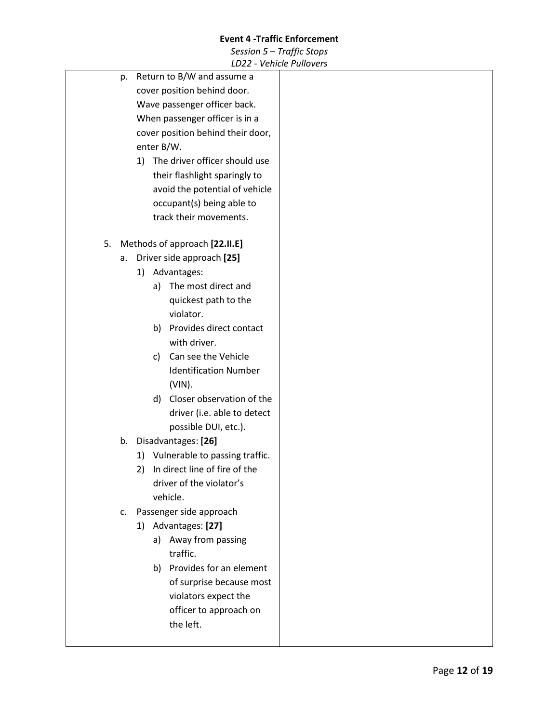|    |    | LD22 - Venicie Pullovers            |
|----|----|-------------------------------------|
|    | p. | Return to B/W and assume a          |
|    |    | cover position behind door.         |
|    |    | Wave passenger officer back.        |
|    |    | When passenger officer is in a      |
|    |    | cover position behind their door,   |
|    |    | enter B/W.                          |
|    |    | 1) The driver officer should use    |
|    |    | their flashlight sparingly to       |
|    |    | avoid the potential of vehicle      |
|    |    | occupant(s) being able to           |
|    |    | track their movements.              |
|    |    |                                     |
| 5. |    | Methods of approach [22.II.E]       |
|    | a. | Driver side approach [25]           |
|    |    | 1) Advantages:                      |
|    |    | The most direct and<br>a)           |
|    |    | quickest path to the                |
|    |    | violator.                           |
|    |    | Provides direct contact<br>b)       |
|    |    | with driver.                        |
|    |    | Can see the Vehicle<br>C)           |
|    |    | <b>Identification Number</b>        |
|    |    | $(VIN)$ .                           |
|    |    | Closer observation of the<br>d)     |
|    |    | driver (i.e. able to detect         |
|    |    | possible DUI, etc.).                |
|    | b. | Disadvantages: [26]                 |
|    |    | 1) Vulnerable to passing traffic.   |
|    |    | In direct line of fire of the<br>2) |
|    |    | driver of the violator's            |
|    |    | vehicle.                            |
|    | c. | Passenger side approach             |
|    |    | 1) Advantages: [27]                 |
|    |    | a) Away from passing                |
|    |    | traffic.                            |
|    |    | b) Provides for an element          |
|    |    | of surprise because most            |
|    |    | violators expect the                |
|    |    | officer to approach on              |
|    |    | the left.                           |
|    |    |                                     |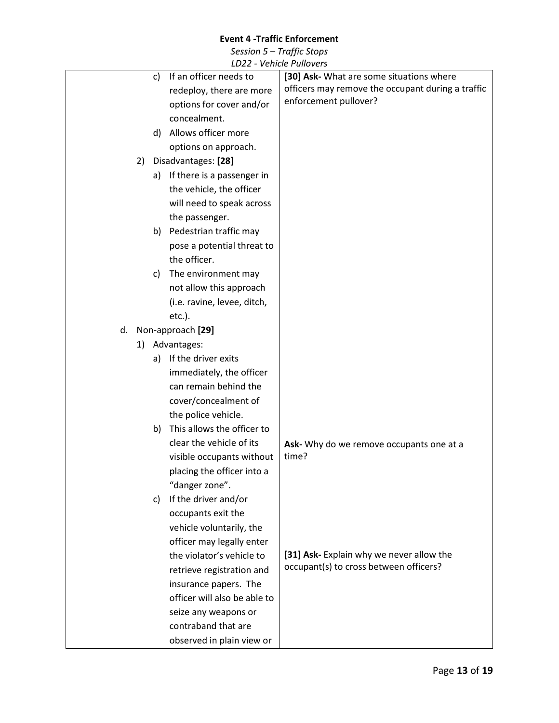| LDZZ - VEIIILIE FUIIUVEIS        |                                                   |
|----------------------------------|---------------------------------------------------|
| If an officer needs to<br>C)     | [30] Ask- What are some situations where          |
| redeploy, there are more         | officers may remove the occupant during a traffic |
| options for cover and/or         | enforcement pullover?                             |
| concealment.                     |                                                   |
| Allows officer more<br>d)        |                                                   |
| options on approach.             |                                                   |
| Disadvantages: [28]<br>2)        |                                                   |
| a) If there is a passenger in    |                                                   |
| the vehicle, the officer         |                                                   |
| will need to speak across        |                                                   |
| the passenger.                   |                                                   |
| b) Pedestrian traffic may        |                                                   |
| pose a potential threat to       |                                                   |
| the officer.                     |                                                   |
| The environment may<br>C)        |                                                   |
| not allow this approach          |                                                   |
| (i.e. ravine, levee, ditch,      |                                                   |
| $etc.$ ).                        |                                                   |
| Non-approach [29]<br>d.          |                                                   |
| 1) Advantages:                   |                                                   |
| If the driver exits<br>a)        |                                                   |
| immediately, the officer         |                                                   |
| can remain behind the            |                                                   |
| cover/concealment of             |                                                   |
| the police vehicle.              |                                                   |
| This allows the officer to<br>b) |                                                   |
| clear the vehicle of its         | Ask- Why do we remove occupants one at a          |
| visible occupants without        | time?                                             |
| placing the officer into a       |                                                   |
| "danger zone".                   |                                                   |
| If the driver and/or<br>c)       |                                                   |
| occupants exit the               |                                                   |
| vehicle voluntarily, the         |                                                   |
| officer may legally enter        |                                                   |
| the violator's vehicle to        | [31] Ask- Explain why we never allow the          |
| retrieve registration and        | occupant(s) to cross between officers?            |
| insurance papers. The            |                                                   |
| officer will also be able to     |                                                   |
| seize any weapons or             |                                                   |
| contraband that are              |                                                   |
| observed in plain view or        |                                                   |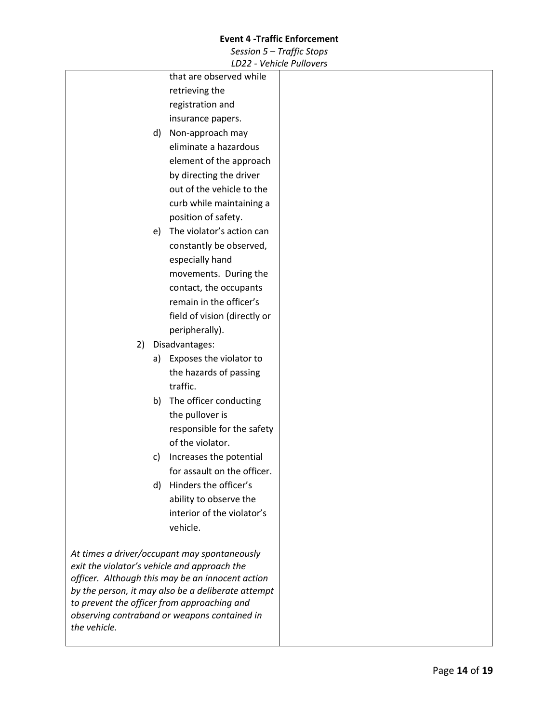|                                              | ᆸᇰᄼ                                                                                                    | $-$ vernore reduction |
|----------------------------------------------|--------------------------------------------------------------------------------------------------------|-----------------------|
|                                              | that are observed while                                                                                |                       |
|                                              | retrieving the                                                                                         |                       |
|                                              | registration and                                                                                       |                       |
|                                              | insurance papers.                                                                                      |                       |
| d)                                           | Non-approach may                                                                                       |                       |
|                                              | eliminate a hazardous                                                                                  |                       |
|                                              | element of the approach                                                                                |                       |
|                                              | by directing the driver                                                                                |                       |
|                                              | out of the vehicle to the                                                                              |                       |
|                                              | curb while maintaining a                                                                               |                       |
|                                              | position of safety.                                                                                    |                       |
| e)                                           | The violator's action can                                                                              |                       |
|                                              | constantly be observed,                                                                                |                       |
|                                              | especially hand                                                                                        |                       |
|                                              | movements. During the                                                                                  |                       |
|                                              | contact, the occupants                                                                                 |                       |
|                                              | remain in the officer's                                                                                |                       |
|                                              | field of vision (directly or                                                                           |                       |
|                                              | peripherally).                                                                                         |                       |
| 2)                                           | Disadvantages:                                                                                         |                       |
| a)                                           | Exposes the violator to                                                                                |                       |
|                                              | the hazards of passing                                                                                 |                       |
|                                              | traffic.                                                                                               |                       |
| b)                                           | The officer conducting                                                                                 |                       |
|                                              | the pullover is                                                                                        |                       |
|                                              | responsible for the safety                                                                             |                       |
|                                              | of the violator.                                                                                       |                       |
| c)                                           | Increases the potential                                                                                |                       |
|                                              | for assault on the officer.                                                                            |                       |
| d)                                           | Hinders the officer's                                                                                  |                       |
|                                              | ability to observe the                                                                                 |                       |
|                                              | interior of the violator's                                                                             |                       |
|                                              | vehicle.                                                                                               |                       |
|                                              |                                                                                                        |                       |
| At times a driver/occupant may spontaneously |                                                                                                        |                       |
| exit the violator's vehicle and approach the |                                                                                                        |                       |
|                                              | officer. Although this may be an innocent action<br>by the person, it may also be a deliberate attempt |                       |
| to prevent the officer from approaching and  |                                                                                                        |                       |
| observing contraband or weapons contained in |                                                                                                        |                       |
| the vehicle.                                 |                                                                                                        |                       |
|                                              |                                                                                                        |                       |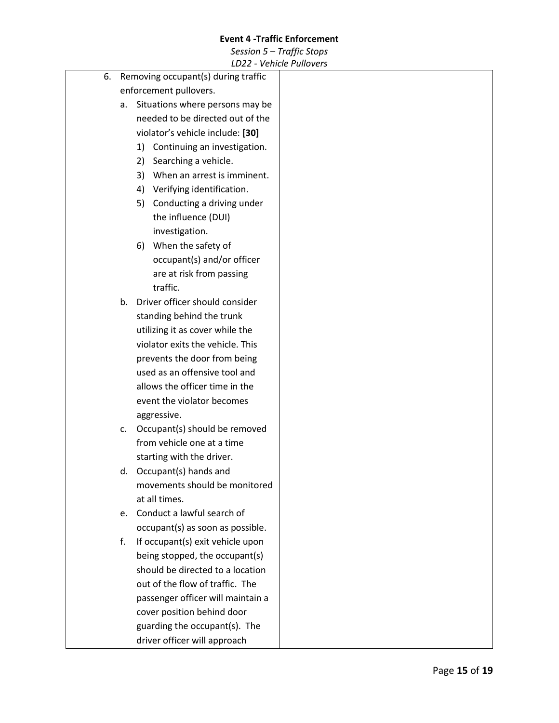|    |                                     |                                 | LDZZ - VEIIILIE FUIIUVEIS         |
|----|-------------------------------------|---------------------------------|-----------------------------------|
| 6. | Removing occupant(s) during traffic |                                 |                                   |
|    | enforcement pullovers.              |                                 |                                   |
|    | а.                                  | Situations where persons may be |                                   |
|    |                                     |                                 | needed to be directed out of the  |
|    |                                     |                                 | violator's vehicle include: [30]  |
|    |                                     | 1)                              | Continuing an investigation.      |
|    |                                     | 2)                              | Searching a vehicle.              |
|    |                                     | 3)                              | When an arrest is imminent.       |
|    |                                     | 4)                              | Verifying identification.         |
|    |                                     | 5)                              | Conducting a driving under        |
|    |                                     |                                 | the influence (DUI)               |
|    |                                     |                                 | investigation.                    |
|    |                                     | 6)                              | When the safety of                |
|    |                                     |                                 | occupant(s) and/or officer        |
|    |                                     |                                 | are at risk from passing          |
|    |                                     |                                 | traffic.                          |
|    | b.                                  |                                 | Driver officer should consider    |
|    |                                     |                                 | standing behind the trunk         |
|    |                                     |                                 | utilizing it as cover while the   |
|    |                                     |                                 | violator exits the vehicle. This  |
|    |                                     |                                 |                                   |
|    |                                     |                                 | prevents the door from being      |
|    |                                     |                                 | used as an offensive tool and     |
|    |                                     |                                 | allows the officer time in the    |
|    |                                     |                                 | event the violator becomes        |
|    |                                     |                                 | aggressive.                       |
|    | c.                                  |                                 | Occupant(s) should be removed     |
|    |                                     |                                 | from vehicle one at a time        |
|    |                                     |                                 | starting with the driver.         |
|    |                                     |                                 | d. Occupant(s) hands and          |
|    |                                     |                                 | movements should be monitored     |
|    |                                     |                                 | at all times.                     |
|    | e.                                  |                                 | Conduct a lawful search of        |
|    |                                     |                                 | occupant(s) as soon as possible.  |
|    | f.                                  |                                 | If occupant(s) exit vehicle upon  |
|    |                                     |                                 | being stopped, the occupant(s)    |
|    |                                     |                                 | should be directed to a location  |
|    |                                     |                                 | out of the flow of traffic. The   |
|    |                                     |                                 | passenger officer will maintain a |
|    |                                     |                                 | cover position behind door        |
|    |                                     |                                 | guarding the occupant(s). The     |
|    |                                     |                                 | driver officer will approach      |
|    |                                     |                                 |                                   |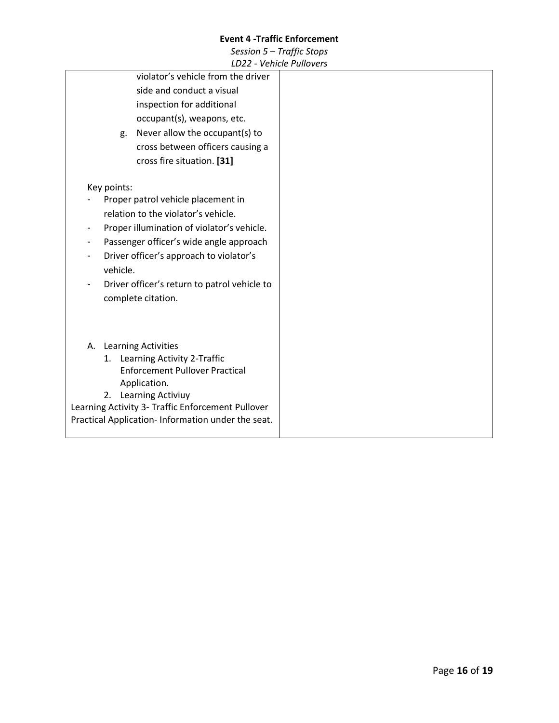|                                         |             | LDZZ - VEIIILIE FUIIUVEI S                        |  |
|-----------------------------------------|-------------|---------------------------------------------------|--|
|                                         |             | violator's vehicle from the driver                |  |
|                                         |             | side and conduct a visual                         |  |
|                                         |             | inspection for additional                         |  |
|                                         |             | occupant(s), weapons, etc.                        |  |
|                                         | g.          | Never allow the occupant(s) to                    |  |
|                                         |             | cross between officers causing a                  |  |
|                                         |             | cross fire situation. [31]                        |  |
|                                         |             |                                                   |  |
|                                         | Key points: |                                                   |  |
| Proper patrol vehicle placement in      |             |                                                   |  |
|                                         |             | relation to the violator's vehicle.               |  |
|                                         |             | Proper illumination of violator's vehicle.        |  |
| Passenger officer's wide angle approach |             |                                                   |  |
| Driver officer's approach to violator's |             |                                                   |  |
| vehicle.                                |             |                                                   |  |
|                                         |             | Driver officer's return to patrol vehicle to      |  |
|                                         |             | complete citation.                                |  |
|                                         |             |                                                   |  |
|                                         |             |                                                   |  |
|                                         |             |                                                   |  |
|                                         |             | A. Learning Activities                            |  |
|                                         |             | 1. Learning Activity 2-Traffic                    |  |
|                                         |             | <b>Enforcement Pullover Practical</b>             |  |
|                                         |             | Application.                                      |  |
|                                         | 2.          | Learning Activiuy                                 |  |
|                                         |             | Learning Activity 3- Traffic Enforcement Pullover |  |
|                                         |             | Practical Application-Information under the seat. |  |
|                                         |             |                                                   |  |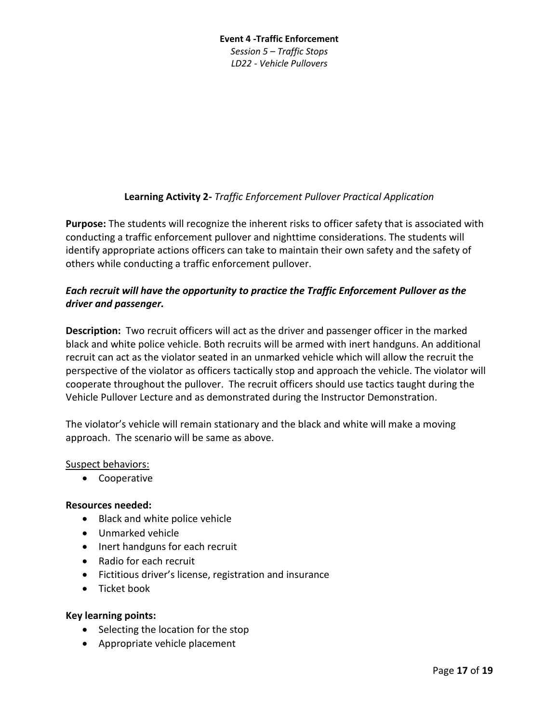# **Event 4 -Traffic Enforcement** *Session 5 – Traffic Stops LD22 - Vehicle Pullovers*

# **Learning Activity 2-** *Traffic Enforcement Pullover Practical Application*

**Purpose:** The students will recognize the inherent risks to officer safety that is associated with conducting a traffic enforcement pullover and nighttime considerations. The students will identify appropriate actions officers can take to maintain their own safety and the safety of others while conducting a traffic enforcement pullover.

# *Each recruit will have the opportunity to practice the Traffic Enforcement Pullover as the driver and passenger.*

**Description:** Two recruit officers will act as the driver and passenger officer in the marked black and white police vehicle. Both recruits will be armed with inert handguns. An additional recruit can act as the violator seated in an unmarked vehicle which will allow the recruit the perspective of the violator as officers tactically stop and approach the vehicle. The violator will cooperate throughout the pullover. The recruit officers should use tactics taught during the Vehicle Pullover Lecture and as demonstrated during the Instructor Demonstration.

The violator's vehicle will remain stationary and the black and white will make a moving approach. The scenario will be same as above.

# Suspect behaviors:

• Cooperative

# **Resources needed:**

- Black and white police vehicle
- Unmarked vehicle
- Inert handguns for each recruit
- Radio for each recruit
- Fictitious driver's license, registration and insurance
- Ticket book

# **Key learning points:**

- Selecting the location for the stop
- Appropriate vehicle placement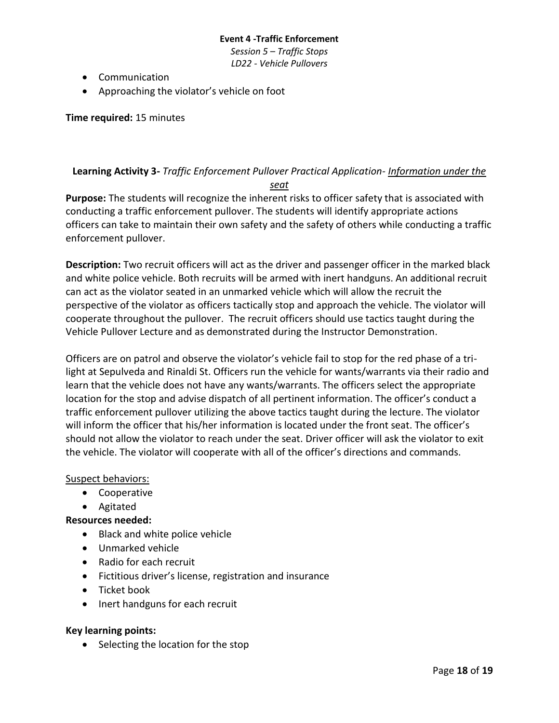*Session 5 – Traffic Stops LD22 - Vehicle Pullovers*

- Communication
- Approaching the violator's vehicle on foot

**Time required:** 15 minutes

# **Learning Activity 3-** *Traffic Enforcement Pullover Practical Application- Information under the seat*

**Purpose:** The students will recognize the inherent risks to officer safety that is associated with conducting a traffic enforcement pullover. The students will identify appropriate actions officers can take to maintain their own safety and the safety of others while conducting a traffic enforcement pullover.

**Description:** Two recruit officers will act as the driver and passenger officer in the marked black and white police vehicle. Both recruits will be armed with inert handguns. An additional recruit can act as the violator seated in an unmarked vehicle which will allow the recruit the perspective of the violator as officers tactically stop and approach the vehicle. The violator will cooperate throughout the pullover. The recruit officers should use tactics taught during the Vehicle Pullover Lecture and as demonstrated during the Instructor Demonstration.

Officers are on patrol and observe the violator's vehicle fail to stop for the red phase of a trilight at Sepulveda and Rinaldi St. Officers run the vehicle for wants/warrants via their radio and learn that the vehicle does not have any wants/warrants. The officers select the appropriate location for the stop and advise dispatch of all pertinent information. The officer's conduct a traffic enforcement pullover utilizing the above tactics taught during the lecture. The violator will inform the officer that his/her information is located under the front seat. The officer's should not allow the violator to reach under the seat. Driver officer will ask the violator to exit the vehicle. The violator will cooperate with all of the officer's directions and commands.

# Suspect behaviors:

- Cooperative
- Agitated

# **Resources needed:**

- Black and white police vehicle
- Unmarked vehicle
- Radio for each recruit
- Fictitious driver's license, registration and insurance
- Ticket book
- Inert handguns for each recruit

# **Key learning points:**

• Selecting the location for the stop